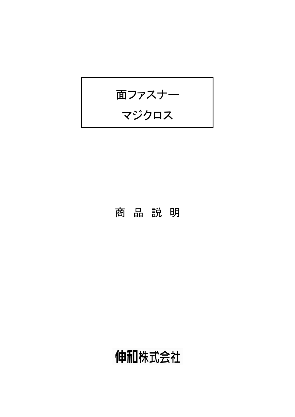

# 商品説明

# 伸和株式会社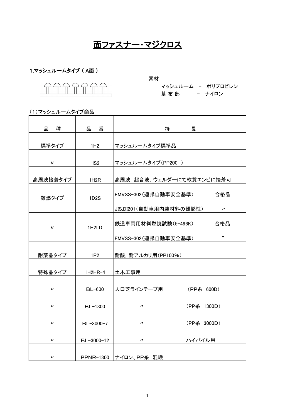# 面ファスナー・マジクロス

#### 1.マッシュルームタイプ (A面)

素材 マッシュルーム - ポリプロピレン 基布部 - ナイロン

| 種<br>品                     | 品番                 | いちのつき 特に いいのみ<br>長                           |
|----------------------------|--------------------|----------------------------------------------|
|                            |                    |                                              |
| 標準タイプ                      | 1H2                | マッシュルームタイプ標準品                                |
|                            |                    |                                              |
| $\prime$                   | HS <sub>2</sub>    | マッシュルームタイプ(PP200)                            |
| 高周波接着タイプ                   | 1H <sub>2</sub> R  | 高周波, 超音波, ウェルダーにて軟質エンビに接着可                   |
| 難燃タイプ                      | 1D2S               | 合格品<br>FMVSS-302(連邦自動車安全基準)                  |
|                            |                    | JIS,DI201(自動車用内装材料の難燃性)<br>$^{\prime\prime}$ |
| $\prime$                   | 1H <sub>2</sub> LD | 合格品<br>鉄道車両用材料燃焼試験(5-496K)                   |
|                            |                    | ,,<br>FMVSS-302 (連邦自動車安全基準)                  |
| 耐薬品タイプ                     | 1P2                | 耐酸, 耐アルカリ用(PP100%)                           |
| 特殊品タイプ                     | $1H2HR-4$          | 土木工事用                                        |
| $\prime$                   | <b>BL-600</b>      | 人口芝ラインテープ用<br>(PP糸 600D)                     |
| $\boldsymbol{\mathsf{II}}$ | BL-1300            | (PP糸 1300D)<br>$^{\prime\prime}$             |
| $\boldsymbol{\mathsf{II}}$ | BL-3000-7          | (PP糸 3000D)<br>$\prime$                      |
| $^{\prime\prime}$          | BL-3000-12         | ハイパイル用<br>$^{\prime\prime}$                  |
| $\boldsymbol{\mathsf{II}}$ |                    | PPNR-1300 ナイロン、PP糸 混織                        |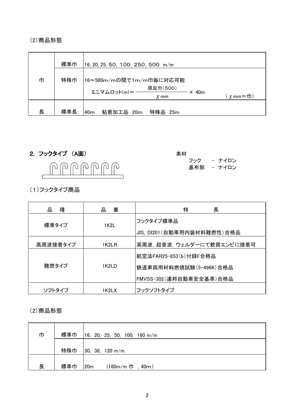#### (2) 商品形態

|   | 標準巾 | 16, 20, 25, 50, 100, 250, 500 m/m                                                               |
|---|-----|-------------------------------------------------------------------------------------------------|
| 巾 | 特殊巾 | 16~500m/mの間で1m/m巾毎に対応可能                                                                         |
|   |     | 原反巾(500)<br>ミニマムロット(m)=-<br>$\times$ 40 <sub>m</sub><br>$(\chi \text{mm} = \text{m})$<br>$X$ mm |
| 長 | 標準長 | 粘着加工品 20m<br>特殊品<br>40 <sub>m</sub><br>25m                                                      |

2. フックタイプ (A面)



素材 - ナイロン フック 基布部 - ナイロン

(1)フックタイプ商品

| 種<br>品   | 番<br>굚 | 特<br>長                                                                     |
|----------|--------|----------------------------------------------------------------------------|
| 標準タイプ    | 1K2L   | フックタイプ標準品<br>JIS, DI201(自動車用内装材料難燃性)合格品                                    |
| 高周波接着タイプ | 1K2LR  | 高周波, 超音波, ウェルダーにて軟質エンビに接着可                                                 |
| 難燃タイプ    | 1K2I D | 航空法FAR25-853(b)付録F合格品<br>鉄道車両用材料燃焼試験(5-496K)合格品<br>FMVSS-302(連邦自動車安全基準)合格品 |
| ソフトタイプ   | 1K2LX  | フックソフトタイプ                                                                  |

(2)商品形態

| 巾 | 標準巾 | $16$ , 20, 25, 50, 100, 160 m/m             |
|---|-----|---------------------------------------------|
|   | 特殊巾 | 30, 38, 120 m/m                             |
| 長 | 標準巾 | $(160m/m \; \Pi \; , \; 40m)$<br><b>20m</b> |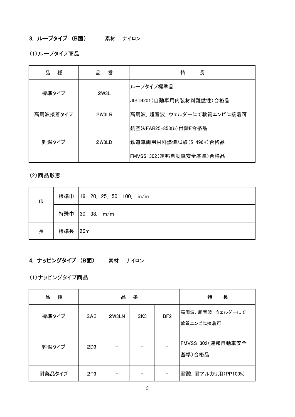### 3. ループタイプ (B面) 素材 ナイロン

(1) ループタイプ商品

| 品<br>種   | 番<br>品 | 特<br>長                      |
|----------|--------|-----------------------------|
|          | 2W3L   | ループタイプ標準品                   |
| 標準タイプ    |        | JIS,DI201 (自動車用内装材料難燃性) 合格品 |
| 高周波接着タイプ | 2W3LR  | 高周波、超音波、ウェルダーにて軟質エンビに接着可    |
| 難燃タイプ    | 2W3LD  | 航空法FAR25-853(b)付録F合格品       |
|          |        | 鉄道車両用材料燃焼試験(5-496K)合格品      |
|          |        | FMVSS-302 (連邦自動車安全基準) 合格品   |

(2) 商品形態

| 巾 | 標準巾       | 16, 20, 25, 50, 100, m/m |
|---|-----------|--------------------------|
|   | 特殊巾       | 30, 38, m/m              |
| 長 | 標準長   20m |                          |

## 4. ナッピングタイプ (B面) 素材 ナイロン

(1)ナッピングタイプ商品

| 種<br>맘 | 番<br>品          |       |                 | 特<br>長          |                              |
|--------|-----------------|-------|-----------------|-----------------|------------------------------|
| 標準タイプ  | 2A3             | 2W3LN | 2K <sub>3</sub> | BF <sub>2</sub> | 高周波,超音波,ウェルダーにて<br>軟質エンビに接着可 |
| 難燃タイプ  | 2D3             |       |                 |                 | FMVSS-302 (連邦自動車安全<br>基準)合格品 |
| 耐薬品タイプ | 2P <sub>3</sub> |       |                 |                 | 耐酸, 耐アルカリ用(PP100%)           |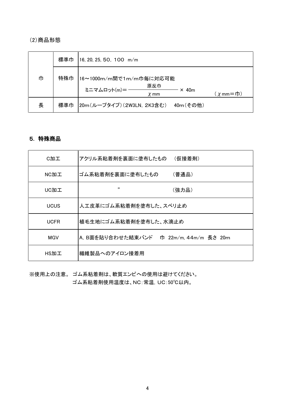#### (2) 商品形態

|   | 標準巾 | $16, 20, 25, 50, 100$ m/m                                                                          |
|---|-----|----------------------------------------------------------------------------------------------------|
| 巾 | 特殊巾 | 16~1000m/m間で1m/m巾毎に対応可能                                                                            |
|   |     | 原反巾<br>ミニマムロット(m)=-<br>$\times$ 40 <sub>m</sub><br>$(\chi \text{mm} = \text{t} \text{)}$<br>$X$ mm |
| 長 | 標準巾 | 20m(ループタイプ)(2W3LN, 2K3含む)<br>40m(その他)                                                              |

#### 5. 特殊商品

| C加工         | アクリル系粘着剤を裏面に塗布したもの<br>(仮接着剤)               |
|-------------|--------------------------------------------|
| NC加工        | ゴム系粘着剤を裏面に塗布したもの<br>(普通品)                  |
| UC加工        | "<br>(強力品)                                 |
| <b>UCUS</b> | 人工皮革にゴム系粘着剤を塗布した、スベリ止め                     |
| <b>UCFR</b> | 植毛生地にゴム系粘着剤を塗布した、水滴止め                      |
| MGV         | A. B面を貼り合わせた結束バンド<br>巾 22m/m, 44m/m 長さ 20m |
| HS加工        | 繊維製品へのアイロン接着用                              |

※使用上の注意。ゴム系粘着剤は、軟質エンビへの使用は避けてください。 ゴム系粘着剤使用温度は、NC:常温, UC:50℃以内。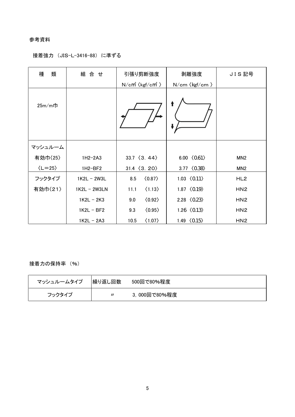#### 参考資料

#### 接着強力 (JIS-L-3416-88) に準ずる

| 類<br>種                 | 組 合 せ        | 引張り剪断強度                                    | 剥離強度                        | JIS記号           |
|------------------------|--------------|--------------------------------------------|-----------------------------|-----------------|
|                        |              | $N/cm^2$ $\langle \text{kgf/cm}^2 \rangle$ | N/cm 〈kgf/cm 〉              |                 |
| $25m/m$ 巾              |              |                                            | t                           |                 |
| マッシュルーム                |              |                                            |                             |                 |
| 有効巾〈25〉                | $1H2-2A3$    | $33.7 \langle 3.44 \rangle$                | 6.00 $(0.61)$               | MN <sub>2</sub> |
| $\langle L=25 \rangle$ | 1H2-BF2      | $31.4 \ (3.20)$                            | 3.77 $\langle 0.38 \rangle$ | MN <sub>2</sub> |
| フックタイプ                 | 1K2L - 2W3L  | $\langle 0.87 \rangle$<br>8.5              | 1.03 $\langle 011 \rangle$  | HL <sub>2</sub> |
| 有効巾〈21〉                | 1K2L - 2W3LN | $\langle 1.13 \rangle$<br>11.1             | 1.87 $\langle 0.19 \rangle$ | HN <sub>2</sub> |
|                        | $1K2L - 2K3$ | $\langle 0.92 \rangle$<br>9.0              | 2.28 $\langle 0.23 \rangle$ | HN <sub>2</sub> |
|                        | $1K2L - BF2$ | $\langle 0.95 \rangle$<br>9.3              | 1.26 $\langle 013 \rangle$  | HN <sub>2</sub> |
|                        | $1K2L - 2A3$ | 10.5<br>$\langle 1.07 \rangle$             | 1.49 $\langle 0.15 \rangle$ | HN <sub>2</sub> |

#### 接着力の保持率 (%)

| マッシュルームタイプ | 繰り返し回数 | 500回で80%程度   |
|------------|--------|--------------|
| フックタイプ     |        | 3,000回で80%程度 |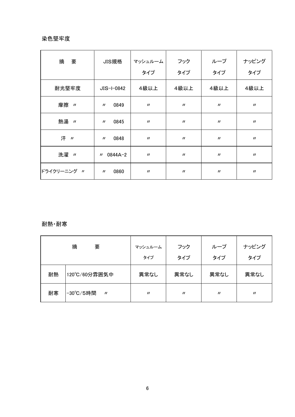#### 染色堅牢度

| 摘<br>要      | JIS規格                                 | マッシュルーム<br>タイプ             | フック<br>タイプ                  | ループ<br>タイプ                  | ナッピング<br>タイプ               |
|-------------|---------------------------------------|----------------------------|-----------------------------|-----------------------------|----------------------------|
| 耐光堅牢度       | $JIS-I-0842$                          | 4級以上                       | 4級以上                        | 4級以上                        | 4級以上                       |
| 摩擦 //       | 0849<br>$\prime$                      | $^{\prime\prime}$          | $\boldsymbol{\prime\prime}$ | $\boldsymbol{\mathcal{U}}$  | $\boldsymbol{\mathsf{II}}$ |
| 熱湯 //       | 0845<br>$\boldsymbol{\prime\prime}$   | $\boldsymbol{\mathsf{II}}$ | $\prime$                    | $\boldsymbol{\prime\prime}$ | $\boldsymbol{\mathsf{II}}$ |
| 汗 "         | 0848<br>$^{\prime\prime}$             | $\prime$                   | $\boldsymbol{\prime\prime}$ | $\prime$                    | $^{\prime\prime}$          |
| 洗濯 //       | 0844A-2<br>$\boldsymbol{\mathsf{II}}$ | $\boldsymbol{\mathsf{II}}$ | $\boldsymbol{\prime\prime}$ | $\boldsymbol{\mathcal{U}}$  | $\boldsymbol{\mathsf{II}}$ |
| ドライクリーニング 〃 | 0860<br>$^{\prime\prime}$             | $\boldsymbol{\mathsf{II}}$ | $^{\prime\prime}$           | $\boldsymbol{\mathsf{II}}$  | $\boldsymbol{\mathsf{II}}$ |

#### 耐熱·耐寒

|    | 摘<br>要                         | マッシュルーム<br>タイプ    | フック<br>タイプ | ループ<br>タイプ | ナッピング<br>タイプ      |
|----|--------------------------------|-------------------|------------|------------|-------------------|
| 耐熱 | 120°C/60分雰囲気中                  | 異常なし              | 異常なし       | 異常なし       | 異常なし              |
| 耐寒 | -30°C/5時間<br>$^{\prime\prime}$ | $^{\prime\prime}$ | $\prime$   | $\prime$   | $^{\prime\prime}$ |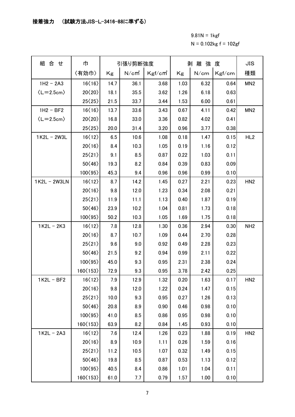#### 接着強力 (試験方法JIS-L-3416-88に準ずる)

 $9.81N = 1$  kgf  $N = 0.102$ kg f = 102gf

| 組 合 せ                     | 巾                           |      | 引張り剪断強度           |        | 剥離強度 |      |        | <b>JIS</b>      |
|---------------------------|-----------------------------|------|-------------------|--------|------|------|--------|-----------------|
|                           | 〈有効巾〉                       | Kg   | N/cm <sup>2</sup> | Kgf/cm | Kg   | N/cm | Kgf/cm | 種類              |
| $1H2 - 2A3$               | 16(16)                      | 14.7 | 36.1              | 3.68   | 1.03 | 6.32 | 0.64   | MN <sub>2</sub> |
| $\langle L=2.5cm \rangle$ | 20 $\langle 20 \rangle$     | 18.1 | 35.5              | 3.62   | 1.26 | 6.18 | 0.63   |                 |
|                           | 25(25)                      | 21.5 | 33.7              | 3.44   | 1.53 | 6.00 | 0.61   |                 |
| $1H2 - BF2$               | 16(16)                      | 13.7 | 33.6              | 3.43   | 0.67 | 4.11 | 0.42   | MN <sub>2</sub> |
| $\langle L=2.5cm \rangle$ | 20 $\langle 20 \rangle$     | 16.8 | 33.0              | 3.36   | 0.82 | 4.02 | 0.41   |                 |
|                           | 25(25)                      | 20.0 | 31.4              | 3.20   | 0.96 | 3.77 | 0.38   |                 |
| $1K2L - 2W3L$             | 16(12)                      | 6.5  | 10.6              | 1.08   | 0.18 | 1.47 | 0.15   | HL <sub>2</sub> |
|                           | 20(16)                      | 8.4  | 10.3              | 1.05   | 0.19 | 1.16 | 0.12   |                 |
|                           | 25(21)                      | 9.1  | 8.5               | 0.87   | 0.22 | 1.03 | 0.11   |                 |
|                           | 50(46)                      | 19.3 | 8.2               | 0.84   | 0.39 | 0.83 | 0.09   |                 |
|                           | 100 $\langle$ 95 $\rangle$  | 45.3 | 9.4               | 0.96   | 0.96 | 0.99 | 0.10   |                 |
| 1K2L - 2W3LN              | 16(12)                      | 8.7  | 14.2              | 1.45   | 0.27 | 2.21 | 0.23   | HN <sub>2</sub> |
|                           | 20(16)                      | 9.8  | 12.0              | 1.23   | 0.34 | 2.08 | 0.21   |                 |
|                           | 25(21)                      | 11.9 | 11.1              | 1.13   | 0.40 | 1.87 | 0.19   |                 |
|                           | 50(46)                      | 23.9 | 10.2              | 1.04   | 0.81 | 1.73 | 0.18   |                 |
|                           | 100 $\langle$ 95 $\rangle$  | 50.2 | 10.3              | 1.05   | 1.69 | 1.75 | 0.18   |                 |
| $1K2L - 2K3$              | 16(12)                      | 7.8  | 12.8              | 1.30   | 0.36 | 2.94 | 0.30   | NH <sub>2</sub> |
|                           | 20(16)                      | 8.7  | 10.7              | 1.09   | 0.44 | 2.70 | 0.28   |                 |
|                           | 25(21)                      | 9.6  | 9.0               | 0.92   | 0.49 | 2.28 | 0.23   |                 |
|                           | 50 $\langle 46 \rangle$     | 21.5 | 9.2               | 0.94   | 0.99 | 2.11 | 0.22   |                 |
|                           | 100 $\langle$ 95 $\rangle$  | 45.0 | 9.3               | 0.95   | 2.31 | 2.38 | 0.24   |                 |
|                           | 160 $\langle$ 153 $\rangle$ | 72.9 | 9.3               | 0.95   | 3.78 | 2.42 | 0.25   |                 |
| 1 K2L - BF2               | 16〈12〉                      | 7.9  | 12.9              | 1.32   | 0.20 | 1.63 | 0.17   | HN <sub>2</sub> |
|                           | 20(16)                      | 9.8  | 12.0              | 1.22   | 0.24 | 1.47 | 0.15   |                 |
|                           | 25(21)                      | 10.0 | 9.3               | 0.95   | 0.27 | 1.26 | 0.13   |                 |
|                           | $50\langle 46 \rangle$      | 20.8 | 8.9               | 0.90   | 0.46 | 0.98 | 0.10   |                 |
|                           | 100 $\langle$ 95 $\rangle$  | 41.0 | 8.5               | 0.86   | 0.95 | 0.98 | 0.10   |                 |
|                           | 160 $\langle$ 153 $\rangle$ | 63.9 | 8.2               | 0.84   | 1.45 | 0.93 | 0.10   |                 |
| $1K2L - 2A3$              | 16(12)                      | 7.6  | 12.4              | 1.26   | 0.23 | 1.88 | 0.19   | HN <sub>2</sub> |
|                           | $20\langle 16 \rangle$      | 8.9  | 10.9              | 1.11   | 0.26 | 1.59 | 0.16   |                 |
|                           | 25(21)                      | 11.2 | 10.5              | 1.07   | 0.32 | 1.49 | 0.15   |                 |
|                           | $50\langle 46 \rangle$      | 19.8 | 8.5               | 0.87   | 0.53 | 1.13 | 0.12   |                 |
|                           | 100 $\langle$ 95 $\rangle$  | 40.5 | 8.4               | 0.86   | 1.01 | 1.04 | 0.11   |                 |
|                           | 160 $\langle$ 153 $\rangle$ | 61.0 | 7.7               | 0.79   | 1.57 | 1.00 | 0.10   |                 |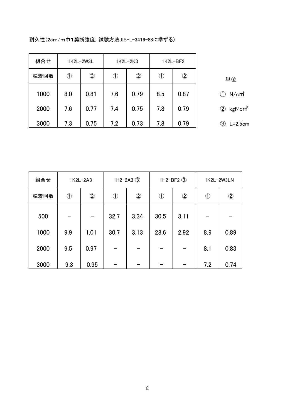| 組合せ  |              | 1K2L-2W3L      | 1K2L-2K3                  |                | 1K2L-BF2                  |               |                              |
|------|--------------|----------------|---------------------------|----------------|---------------------------|---------------|------------------------------|
| 脱着回数 | $^\circledR$ | $^{\circledR}$ | $\textcircled{\small{1}}$ | $^{\circledR}$ | $\textcircled{\small{1}}$ | $\circled{2}$ | 単位                           |
| 1000 | 8.0          | 0.81           | 7.6                       | 0.79           | 8.5                       | 0.87          | $N/cm^2$<br>$\left(1\right)$ |
| 2000 | 7.6          | 0.77           | 7.4                       | 0.75           | 7.8                       | 0.79          | $\left( 2\right)$<br>kgf∕cmै |
| 3000 | 7.3          | 0.75           | 7.2                       | 0.73           | 7.8                       | 0.79          | 3)<br>$L=2.5cm$              |

耐久性(25m/m巾1剪断強度, 試験方法JIS-L-3416-88に準ずる)

| 組合せ  |            | 1K2L-2A3      | $1H2-2A3$ $(3)$ |               | 1H2-BF2 $(3)$ |               | 1K2L-2W3LN    |                |
|------|------------|---------------|-----------------|---------------|---------------|---------------|---------------|----------------|
| 脱着回数 | $\bigcirc$ | $\circled{2}$ | $\bigcirc$      | $\circled{2}$ | $\bigcirc$    | $\circled{2}$ | $\circled{1}$ | $^{\circledR}$ |
| 500  |            |               | 32.7            | 3.34          | 30.5          | 3.11          |               |                |
| 1000 | 9.9        | 1.01          | 30.7            | 3.13          | 28.6          | 2.92          | 8.9           | 0.89           |
| 2000 | 9.5        | 0.97          |                 |               |               |               | 8.1           | 0.83           |
| 3000 | 9.3        | 0.95          |                 |               |               |               | 7.2           | 0.74           |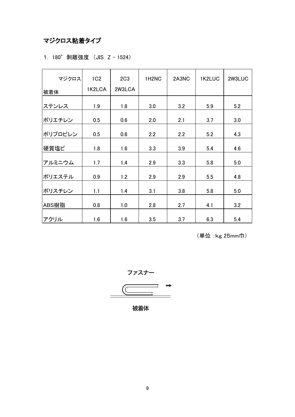## マジクロス粘着タイプ

|  |  | 1. 180° 剥離強度 (JIS Z-1524) |  |  |  |
|--|--|---------------------------|--|--|--|
|--|--|---------------------------|--|--|--|

| マジクロス   | 1C <sub>2</sub> | 2C <sub>3</sub> | 1H <sub>2</sub> N <sub>C</sub> | 2A3NC | 1K2LUC | 2W3LUC |
|---------|-----------------|-----------------|--------------------------------|-------|--------|--------|
| 被着体     | 1K2LCA          | 2W3LCA          |                                |       |        |        |
| ステンレス   | 1.9             | 1.8             | 3.0                            | 3.2   | 5.9    | 5.2    |
| ポリエチレン  | 0.5             | 0.6             | 2.0                            | 2.1   | 3.7    | 3.0    |
| ポリプロピレン | 0.5             | 0.6             | 2.2                            | 2.2   | 5.2    | 4.3    |
| 硬質塩ビ    | 1.8             | 1.6             | 3.3                            | 3.9   | 5.4    | 4.6    |
|         |                 |                 |                                |       |        |        |
| アルミニウム  | 1.7             | 1.4             | 2.9                            | 3.3   | 5.8    | 5.0    |
| ポリエステル  | 0.9             | 1.2             | 2.9                            | 2.9   | 5.5    | 4.8    |
| ポリスチレン  | 1.1             | 1.4             | 3.1                            | 3.8   | 5.8    | 5.0    |
| ABS樹脂   | 0.8             | 1.0             | 2.8                            | 2.7   | 4.1    | 3.2    |
| アクリル    | 1.6             | 1.6             | 3.5                            | 3.7   | 6.3    | 5.4    |

(単位:kg 25mm巾)

$$
\overline{}
$$

被着体

 $\overline{a}$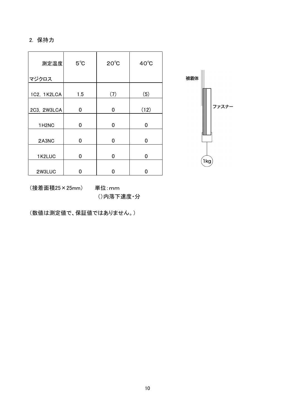#### 2. 保持力

| 測定温度                           | $5^{\circ}$ C | $20^{\circ}$ C | $40^{\circ}$ C |
|--------------------------------|---------------|----------------|----------------|
| マジクロス                          |               |                |                |
| 1C2, 1K2LCA                    | 1.5           | (7)            | (5)            |
| 2C3, 2W3LCA                    | 0             | 0              | (12)           |
| 1H <sub>2</sub> N <sub>C</sub> | 0             | 0              | 0              |
| 2A3NC                          | 0             | 0              | 0              |
| 1K2LUC                         | 0             | 0              | 0              |
| 2W3LUC                         |               | 0              |                |



(接着面積25×25mm)

単位:mm ()内落下速度·分

(数値は測定値で、保証値ではありません。)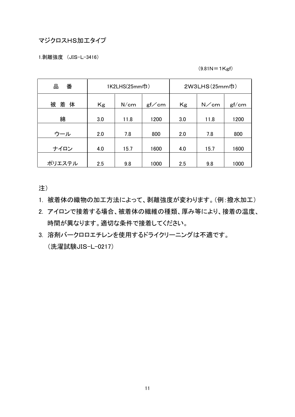#### マジクロスHS加工タイプ

1.剥離強度 (JIS-L-3416)

#### $(9.81N = 1Kgf)$

| 땀<br>番      | 1K2LHS(25mm巾) |      |       | 2W3LHS(25mm巾) |      |       |  |
|-------------|---------------|------|-------|---------------|------|-------|--|
| 被<br>着<br>体 | Kg            | N/cm | gf/cm | Kg            | N/cm | gf/cm |  |
| 綿           | 3.0           | 11.8 | 1200  | 3.0           | 11.8 | 1200  |  |
| ウール         | 2.0           | 7.8  | 800   | 2.0           | 7.8  | 800   |  |
| ナイロン        | 4.0           | 15.7 | 1600  | 4.0           | 15.7 | 1600  |  |
| ポリエステル      | 2.5           | 9.8  | 1000  | 2.5           | 9.8  | 1000  |  |

注)

- 1. 被着体の織物の加工方法によって、剥離強度が変わります。(例:撥水加工)
- 2. アイロンで接着する場合、被着体の繊維の種類、厚み等により、接着の温度、 時間が異なります。適切な条件で接着してください。
- 3. 溶剤バークロロエチレンを使用するドライクリーニングは不適です。 (洗濯試験JIS-L-0217)